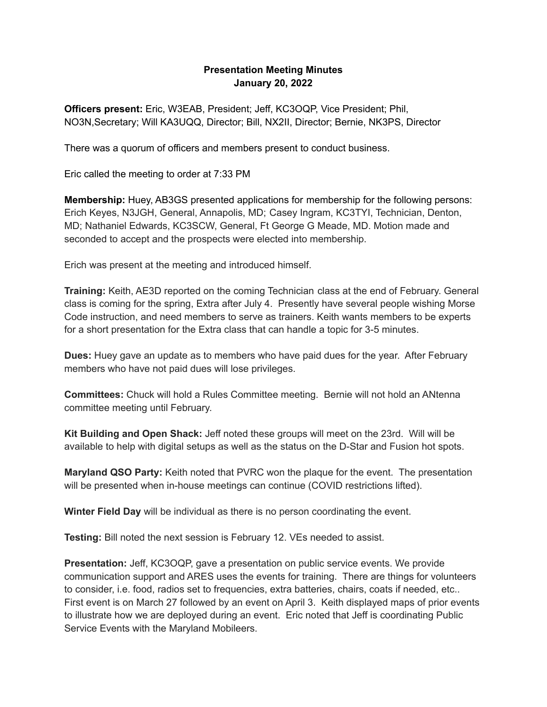## **Presentation Meeting Minutes January 20, 2022**

**Officers present:** Eric, W3EAB, President; Jeff, KC3OQP, Vice President; Phil, NO3N,Secretary; Will KA3UQQ, Director; Bill, NX2II, Director; Bernie, NK3PS, Director

There was a quorum of officers and members present to conduct business.

Eric called the meeting to order at 7:33 PM

**Membership:** Huey, AB3GS presented applications for membership for the following persons: Erich Keyes, N3JGH, General, Annapolis, MD; Casey Ingram, KC3TYI, Technician, Denton, MD; Nathaniel Edwards, KC3SCW, General, Ft George G Meade, MD. Motion made and seconded to accept and the prospects were elected into membership.

Erich was present at the meeting and introduced himself.

**Training:** Keith, AE3D reported on the coming Technician class at the end of February. General class is coming for the spring, Extra after July 4. Presently have several people wishing Morse Code instruction, and need members to serve as trainers. Keith wants members to be experts for a short presentation for the Extra class that can handle a topic for 3-5 minutes.

**Dues:** Huey gave an update as to members who have paid dues for the year. After February members who have not paid dues will lose privileges.

**Committees:** Chuck will hold a Rules Committee meeting. Bernie will not hold an ANtenna committee meeting until February.

**Kit Building and Open Shack:** Jeff noted these groups will meet on the 23rd. Will will be available to help with digital setups as well as the status on the D-Star and Fusion hot spots.

**Maryland QSO Party:** Keith noted that PVRC won the plaque for the event. The presentation will be presented when in-house meetings can continue (COVID restrictions lifted).

**Winter Field Day** will be individual as there is no person coordinating the event.

**Testing:** Bill noted the next session is February 12. VEs needed to assist.

**Presentation:** Jeff, KC3OQP, gave a presentation on public service events. We provide communication support and ARES uses the events for training. There are things for volunteers to consider, i.e. food, radios set to frequencies, extra batteries, chairs, coats if needed, etc.. First event is on March 27 followed by an event on April 3. Keith displayed maps of prior events to illustrate how we are deployed during an event. Eric noted that Jeff is coordinating Public Service Events with the Maryland Mobileers.